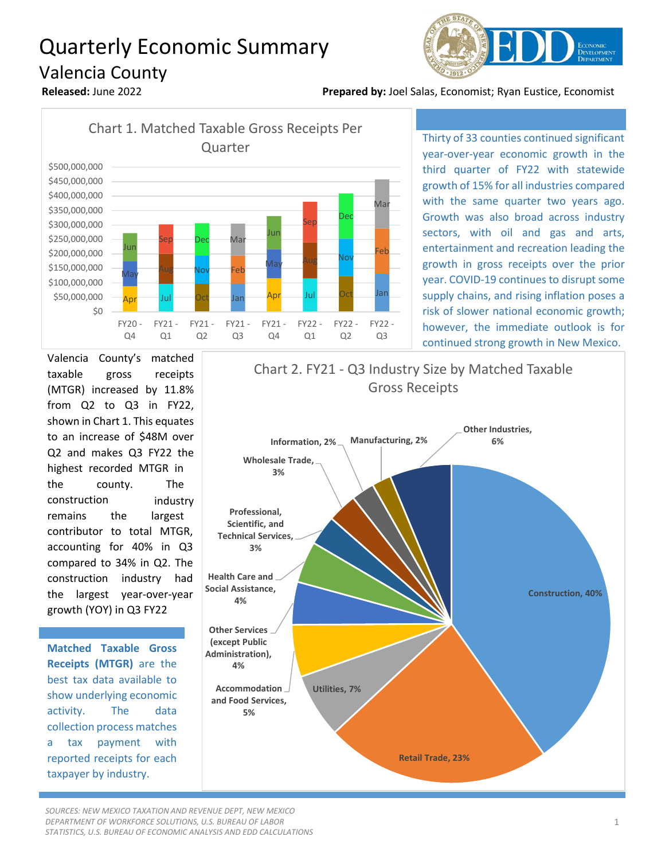## Quarterly Economic Summary Valencia County



**Released:** June 2022 **Prepared by:** Joel Salas, Economist; Ryan Eustice, Economist



Thirty of 33 counties continued significant year-over-year economic growth in the third quarter of FY22 with statewide growth of 15% for all industries compared with the same quarter two years ago. Growth was also broad across industry sectors, with oil and gas and arts, entertainment and recreation leading the growth in gross receipts over the prior year. COVID-19 continues to disrupt some supply chains, and rising inflation poses a risk of slower national economic growth; however, the immediate outlook is for continued strong growth in New Mexico.

Valencia County's matched taxable gross receipts (MTGR) increased by 11.8% from Q2 to Q3 in FY22, shown in Chart 1. This equates to an increase of \$48M over Q2 and makes Q3 FY22 the highest recorded MTGR in the county. The construction industry remains the largest contributor to total MTGR, accounting for 40% in Q3 compared to 34% in Q2. The construction industry had the largest year-over-year growth (YOY) in Q3 FY22

**Matched Taxable Gross Receipts (MTGR)** are the best tax data available to show underlying economic activity. The data collection process matches a tax payment with reported receipts for each taxpayer by industry.

## **Construction, 40% Health Care and Social Assistance, 4% Professional, Scientific, and Technical Services, 3% Wholesale Trade, 3% Information, 2% Manufacturing, 2% Other Industries, 6%** Gross Receipts

Chart 2. FY21 - Q3 Industry Size by Matched Taxable

**Other Services (except Public Administration),** 

**4%**

**Accommodation Utilities, 7% and Food Services, 5%**

**Retail Trade, 23%**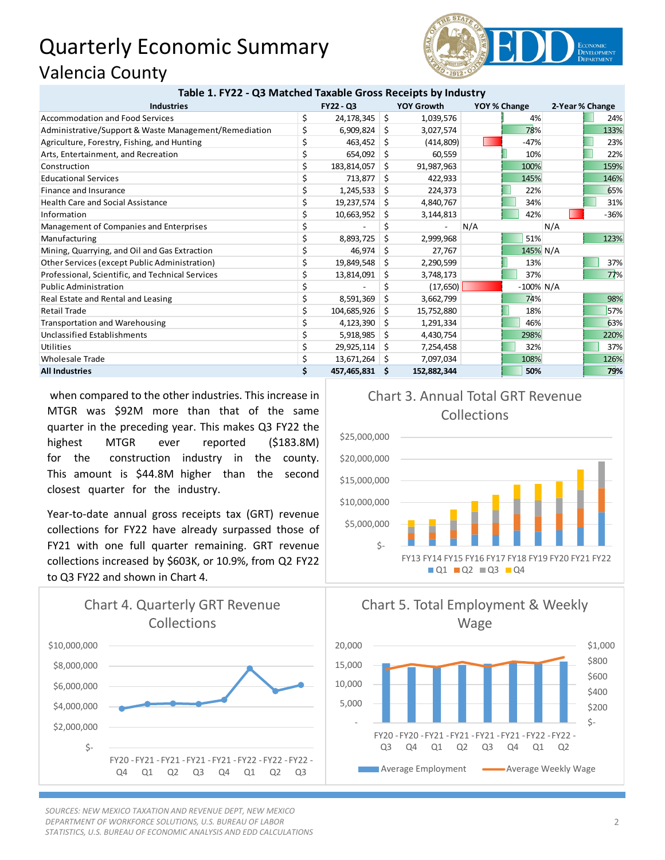## Quarterly Economic Summary Valencia County



| Table 1. FY22 - Q3 Matched Taxable Gross Receipts by Industry |           |                |    |                   |              |              |                 |        |
|---------------------------------------------------------------|-----------|----------------|----|-------------------|--------------|--------------|-----------------|--------|
| <b>Industries</b>                                             | FY22 - Q3 |                |    | <b>YOY Growth</b> | YOY % Change |              | 2-Year % Change |        |
| Accommodation and Food Services                               | \$        | 24,178,345     | \$ | 1,039,576         |              | 4%           |                 | 24%    |
| Administrative/Support & Waste Management/Remediation         | Ś         | 6,909,824      | -S | 3,027,574         |              | 78%          |                 | 133%   |
| Agriculture, Forestry, Fishing, and Hunting                   |           | 463,452        | Ŝ. | (414, 809)        |              | $-47%$       |                 | 23%    |
| Arts, Entertainment, and Recreation                           |           | 654,092        | Ŝ  | 60,559            |              | 10%          |                 | 22%    |
| Construction                                                  | \$        | 183,814,057    | Ŝ. | 91,987,963        |              | 100%         |                 | 159%   |
| <b>Educational Services</b>                                   | Ś         | 713,877        | Ŝ  | 422,933           |              | 145%         |                 | 146%   |
| Finance and Insurance                                         | \$        | 1,245,533      | S  | 224,373           |              | 22%          |                 | 65%    |
| <b>Health Care and Social Assistance</b>                      |           | 19,237,574     | S  | 4,840,767         |              | 34%          |                 | 31%    |
| Information                                                   |           | 10,663,952     | S  | 3,144,813         |              | 42%          |                 | $-36%$ |
| Management of Companies and Enterprises                       | \$        |                | \$ |                   | N/A          |              | N/A             |        |
| Manufacturing                                                 | \$        | 8,893,725      | Ś. | 2,999,968         |              | 51%          |                 | 123%   |
| Mining, Quarrying, and Oil and Gas Extraction                 |           | 46,974         | S  | 27,767            |              | 145% N/A     |                 |        |
| Other Services (except Public Administration)                 |           | 19,849,548     | \$ | 2,290,599         |              | 13%          |                 | 37%    |
| Professional, Scientific, and Technical Services              |           | 13,814,091     | S  | 3,748,173         |              | 37%          |                 | 77%    |
| <b>Public Administration</b>                                  |           |                |    | (17, 650)         |              | $-100\%$ N/A |                 |        |
| Real Estate and Rental and Leasing                            |           | 8,591,369      | Ŝ  | 3,662,799         |              | 74%          |                 | 98%    |
| <b>Retail Trade</b>                                           | Ś         | 104,685,926    | Ŝ. | 15,752,880        |              | 18%          |                 | 57%    |
| <b>Transportation and Warehousing</b>                         |           | 4,123,390      | Ŝ. | 1,291,334         |              | 46%          |                 | 63%    |
| <b>Unclassified Establishments</b>                            |           | 5,918,985      | S  | 4,430,754         |              | 298%         |                 | 220%   |
| Utilities                                                     |           | 29,925,114     | S  | 7,254,458         |              | 32%          |                 | 37%    |
| <b>Wholesale Trade</b>                                        |           | 13,671,264     | -S | 7,097,034         |              | 108%         |                 | 126%   |
| <b>All Industries</b>                                         | \$        | 457,465,831 \$ |    | 152,882,344       |              | 50%          |                 | 79%    |

 when compared to the other industries. This increase in MTGR was \$92M more than that of the same quarter in the preceding year. This makes Q3 FY22 the highest MTGR ever reported (\$183.8M) for the construction industry in the county. This amount is \$44.8M higher than the second closest quarter for the industry.

Year-to-date annual gross receipts tax (GRT) revenue collections for FY22 have already surpassed those of FY21 with one full quarter remaining. GRT revenue collections increased by \$603K, or 10.9%, from Q2 FY22 to Q3 FY22 and shown in Chart 4.



*SOURCES: NEW MEXICO TAXATION AND REVENUE DEPT, NEW MEXICO DEPARTMENT OF WORKFORCE SOLUTIONS, U.S. BUREAU OF LABOR STATISTICS, U.S. BUREAU OF ECONOMIC ANALYSIS AND EDD CALCULATIONS*